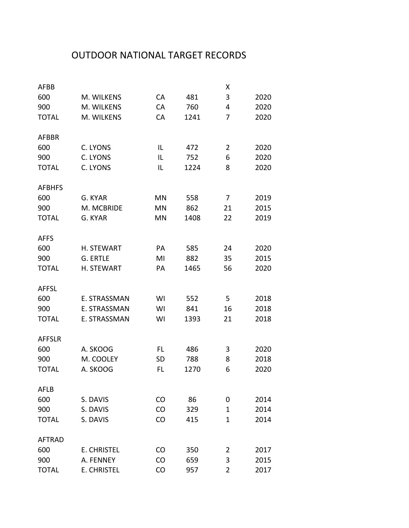## OUTDOOR NATIONAL TARGET RECORDS

| 2020<br>2020<br>2020 |
|----------------------|
|                      |
|                      |
|                      |
|                      |
| 2020                 |
| 2020                 |
| 2020                 |
|                      |
| 2019                 |
| 2015                 |
| 2019                 |
|                      |
| 2020                 |
| 2015                 |
| 2020                 |
|                      |
| 2018                 |
| 2018                 |
| 2018                 |
|                      |
| 2020                 |
| 2018                 |
| 2020                 |
|                      |
| 2014                 |
| 2014                 |
| 2014                 |
|                      |
|                      |
| 2017                 |
| 2015                 |
|                      |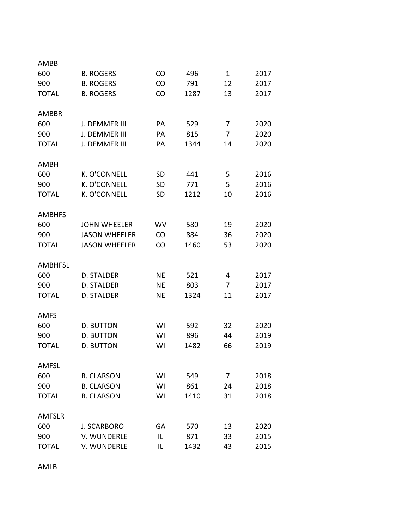| AMBB          |                      |           |      |              |      |
|---------------|----------------------|-----------|------|--------------|------|
| 600           | <b>B. ROGERS</b>     | <b>CO</b> | 496  | $\mathbf{1}$ | 2017 |
| 900           | <b>B. ROGERS</b>     | <b>CO</b> | 791  | 12           | 2017 |
| <b>TOTAL</b>  | <b>B. ROGERS</b>     | CO        | 1287 | 13           | 2017 |
|               |                      |           |      |              |      |
| <b>AMBBR</b>  |                      |           |      |              |      |
| 600           | J. DEMMER III        | PA        | 529  | 7            | 2020 |
| 900           | J. DEMMER III        | PA        | 815  | 7            | 2020 |
| <b>TOTAL</b>  | J. DEMMER III        | PА        | 1344 | 14           | 2020 |
|               |                      |           |      |              |      |
| AMBH          |                      |           |      |              |      |
| 600           | K. O'CONNELL         | <b>SD</b> | 441  | 5            | 2016 |
| 900           | K. O'CONNELL         | <b>SD</b> | 771  | 5            | 2016 |
| <b>TOTAL</b>  | K. O'CONNELL         | <b>SD</b> | 1212 | 10           | 2016 |
|               |                      |           |      |              |      |
| <b>AMBHFS</b> |                      |           |      |              |      |
| 600           | <b>JOHN WHEELER</b>  | WV        | 580  | 19           | 2020 |
| 900           | <b>JASON WHEELER</b> | <b>CO</b> | 884  | 36           | 2020 |
| <b>TOTAL</b>  | <b>JASON WHEELER</b> | CO        | 1460 | 53           | 2020 |
|               |                      |           |      |              |      |
| AMBHFSL       |                      |           |      |              |      |
| 600           | D. STALDER           | <b>NE</b> | 521  | 4            | 2017 |
| 900           | <b>D. STALDER</b>    | <b>NE</b> | 803  | 7            | 2017 |
| <b>TOTAL</b>  | <b>D. STALDER</b>    | <b>NE</b> | 1324 | 11           | 2017 |
| <b>AMFS</b>   |                      |           |      |              |      |
| 600           | <b>D. BUTTON</b>     | WI        | 592  | 32           | 2020 |
| 900           | D. BUTTON            | WI        | 896  | 44           | 2019 |
| <b>TOTAL</b>  | <b>D. BUTTON</b>     | WI        | 1482 | 66           | 2019 |
|               |                      |           |      |              |      |
| <b>AMFSL</b>  |                      |           |      |              |      |
| 600           | <b>B. CLARSON</b>    | WI        | 549  | 7            | 2018 |
| 900           | <b>B. CLARSON</b>    | WI        | 861  | 24           | 2018 |
| <b>TOTAL</b>  | <b>B. CLARSON</b>    | WI        | 1410 | 31           | 2018 |
|               |                      |           |      |              |      |
| <b>AMFSLR</b> |                      |           |      |              |      |
| 600           | <b>J. SCARBORO</b>   | GA        | 570  | 13           | 2020 |
| 900           | V. WUNDERLE          | IL        | 871  | 33           | 2015 |
| <b>TOTAL</b>  | V. WUNDERLE          | IL        | 1432 | 43           | 2015 |

AMLB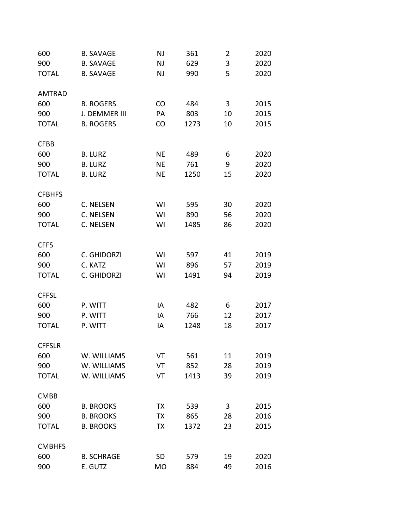| 600           | <b>B. SAVAGE</b>  | NJ        | 361  | 2  | 2020 |
|---------------|-------------------|-----------|------|----|------|
| 900           | <b>B. SAVAGE</b>  | <b>NJ</b> | 629  | 3  | 2020 |
| <b>TOTAL</b>  | <b>B. SAVAGE</b>  | <b>NJ</b> | 990  | 5  | 2020 |
| <b>AMTRAD</b> |                   |           |      |    |      |
| 600           | <b>B. ROGERS</b>  | CO        | 484  | 3  | 2015 |
| 900           | J. DEMMER III     | PA        | 803  | 10 | 2015 |
| <b>TOTAL</b>  | <b>B. ROGERS</b>  | CO        | 1273 | 10 | 2015 |
|               |                   |           |      |    |      |
| <b>CFBB</b>   |                   |           |      |    |      |
| 600           | <b>B. LURZ</b>    | <b>NE</b> | 489  | 6  | 2020 |
| 900           | <b>B. LURZ</b>    | <b>NE</b> | 761  | 9  | 2020 |
| <b>TOTAL</b>  | <b>B. LURZ</b>    | <b>NE</b> | 1250 | 15 | 2020 |
| <b>CFBHFS</b> |                   |           |      |    |      |
| 600           | C. NELSEN         | WI        | 595  | 30 | 2020 |
| 900           | C. NELSEN         | WI        | 890  | 56 | 2020 |
| <b>TOTAL</b>  | C. NELSEN         | WI        | 1485 | 86 | 2020 |
| <b>CFFS</b>   |                   |           |      |    |      |
| 600           | C. GHIDORZI       | WI        | 597  | 41 | 2019 |
| 900           | C. KATZ           | WI        | 896  | 57 | 2019 |
| <b>TOTAL</b>  | C. GHIDORZI       | WI        | 1491 | 94 | 2019 |
|               |                   |           |      |    |      |
| <b>CFFSL</b>  |                   |           |      |    |      |
| 600           | P. WITT           | IA        | 482  | 6  | 2017 |
| 900           | P. WITT           | IA        | 766  | 12 | 2017 |
| <b>TOTAL</b>  | P. WITT           | IA        | 1248 | 18 | 2017 |
| <b>CFFSLR</b> |                   |           |      |    |      |
| 600           | W. WILLIAMS       | VT        | 561  | 11 | 2019 |
| 900           | W. WILLIAMS       | VT        | 852  | 28 | 2019 |
| <b>TOTAL</b>  | W. WILLIAMS       | VT        | 1413 | 39 | 2019 |
| <b>CMBB</b>   |                   |           |      |    |      |
| 600           | <b>B. BROOKS</b>  | TX        | 539  | 3  | 2015 |
| 900           | <b>B. BROOKS</b>  | TX        | 865  | 28 | 2016 |
| <b>TOTAL</b>  | <b>B. BROOKS</b>  | TX        | 1372 | 23 | 2015 |
| <b>CMBHFS</b> |                   |           |      |    |      |
| 600           | <b>B. SCHRAGE</b> | <b>SD</b> | 579  | 19 | 2020 |
| 900           | E. GUTZ           | <b>MO</b> | 884  | 49 | 2016 |
|               |                   |           |      |    |      |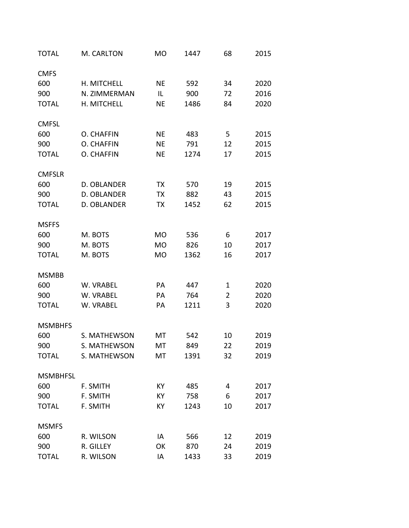| <b>TOTAL</b>    | M. CARLTON   | <b>MO</b> | 1447 | 68             | 2015 |
|-----------------|--------------|-----------|------|----------------|------|
| <b>CMFS</b>     |              |           |      |                |      |
| 600             | H. MITCHELL  | <b>NE</b> | 592  | 34             | 2020 |
| 900             | N. ZIMMERMAN | IL        | 900  | 72             | 2016 |
| <b>TOTAL</b>    | H. MITCHELL  | <b>NE</b> | 1486 | 84             | 2020 |
| <b>CMFSL</b>    |              |           |      |                |      |
| 600             | O. CHAFFIN   | <b>NE</b> | 483  | 5              | 2015 |
| 900             | O. CHAFFIN   | <b>NE</b> | 791  | 12             | 2015 |
| <b>TOTAL</b>    | O. CHAFFIN   | <b>NE</b> | 1274 | 17             | 2015 |
| <b>CMFSLR</b>   |              |           |      |                |      |
| 600             | D. OBLANDER  | TX        | 570  | 19             | 2015 |
| 900             | D. OBLANDER  | TX        | 882  | 43             | 2015 |
| <b>TOTAL</b>    | D. OBLANDER  | TX        | 1452 | 62             | 2015 |
| <b>MSFFS</b>    |              |           |      |                |      |
| 600             | M. BOTS      | <b>MO</b> | 536  | 6              | 2017 |
| 900             | M. BOTS      | <b>MO</b> | 826  | 10             | 2017 |
| <b>TOTAL</b>    | M. BOTS      | <b>MO</b> | 1362 | 16             | 2017 |
| <b>MSMBB</b>    |              |           |      |                |      |
| 600             | W. VRABEL    | PA        | 447  | 1              | 2020 |
| 900             | W. VRABEL    | PA        | 764  | $\overline{2}$ | 2020 |
| <b>TOTAL</b>    | W. VRABEL    | PA        | 1211 | 3              | 2020 |
| <b>MSMBHFS</b>  |              |           |      |                |      |
| 600             | S. MATHEWSON | MT        | 542  | 10             | 2019 |
| 900             | S. MATHEWSON | МT        | 849  | 22             | 2019 |
| <b>TOTAL</b>    | S. MATHEWSON | MT        | 1391 | 32             | 2019 |
| <b>MSMBHFSL</b> |              |           |      |                |      |
| 600             | F. SMITH     | KY        | 485  | 4              | 2017 |
| 900             | F. SMITH     | KY        | 758  | 6              | 2017 |
| <b>TOTAL</b>    | F. SMITH     | KY        | 1243 | 10             | 2017 |
| <b>MSMFS</b>    |              |           |      |                |      |
| 600             | R. WILSON    | IA        | 566  | 12             | 2019 |
| 900             | R. GILLEY    | OK        | 870  | 24             | 2019 |
| <b>TOTAL</b>    | R. WILSON    | IA        | 1433 | 33             | 2019 |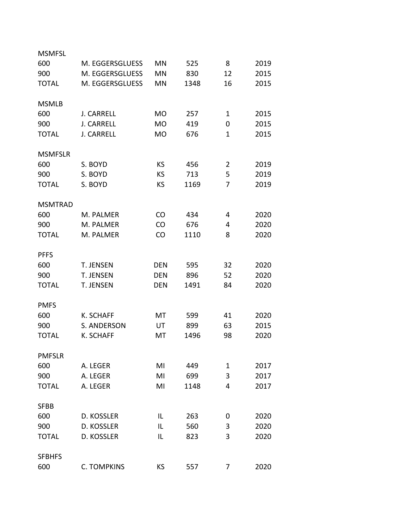| <b>MSMFSL</b>  |                    |            |      |                |      |
|----------------|--------------------|------------|------|----------------|------|
| 600            | M. EGGERSGLUESS    | MN         | 525  | 8              | 2019 |
| 900            | M. EGGERSGLUESS    | MN         | 830  | 12             | 2015 |
| <b>TOTAL</b>   | M. EGGERSGLUESS    | MN         | 1348 | 16             | 2015 |
|                |                    |            |      |                |      |
| <b>MSMLB</b>   |                    |            |      |                |      |
| 600            | <b>J. CARRELL</b>  | <b>MO</b>  | 257  | $\mathbf{1}$   | 2015 |
| 900            | <b>J. CARRELL</b>  | <b>MO</b>  | 419  | 0              | 2015 |
| <b>TOTAL</b>   | <b>J. CARRELL</b>  | <b>MO</b>  | 676  | $\mathbf 1$    | 2015 |
|                |                    |            |      |                |      |
| <b>MSMFSLR</b> |                    |            |      |                |      |
| 600            | S. BOYD            | KS         | 456  | $\overline{2}$ | 2019 |
| 900            | S. BOYD            | KS         | 713  | 5              | 2019 |
| <b>TOTAL</b>   | S. BOYD            | KS         | 1169 | 7              | 2019 |
|                |                    |            |      |                |      |
| <b>MSMTRAD</b> |                    |            |      |                |      |
| 600            | M. PALMER          | <b>CO</b>  | 434  | 4              | 2020 |
| 900            | M. PALMER          | CO         | 676  | 4              | 2020 |
| <b>TOTAL</b>   | M. PALMER          | <b>CO</b>  | 1110 | 8              | 2020 |
|                |                    |            |      |                |      |
| <b>PFFS</b>    |                    |            |      |                |      |
| 600            | <b>T. JENSEN</b>   | <b>DEN</b> | 595  | 32             | 2020 |
| 900            | T. JENSEN          | <b>DEN</b> | 896  | 52             | 2020 |
| <b>TOTAL</b>   | <b>T. JENSEN</b>   | <b>DEN</b> | 1491 | 84             | 2020 |
|                |                    |            |      |                |      |
| <b>PMFS</b>    |                    |            |      |                |      |
| 600            | <b>K. SCHAFF</b>   | МT         | 599  | 41             | 2020 |
| 900            | S. ANDERSON        | UT         | 899  | 63             | 2015 |
| <b>TOTAL</b>   | <b>K. SCHAFF</b>   | MT         | 1496 | 98             | 2020 |
|                |                    |            |      |                |      |
| <b>PMFSLR</b>  |                    |            |      |                |      |
| 600            | A. LEGER           | MI         | 449  | $\mathbf{1}$   | 2017 |
| 900            | A. LEGER           | MI         | 699  | 3              | 2017 |
| <b>TOTAL</b>   | A. LEGER           | MI         | 1148 | 4              | 2017 |
|                |                    |            |      |                |      |
| <b>SFBB</b>    |                    |            |      |                |      |
| 600            | D. KOSSLER         | IL         | 263  | 0              | 2020 |
| 900            | D. KOSSLER         | IL         | 560  | 3              | 2020 |
| <b>TOTAL</b>   | D. KOSSLER         | IL         | 823  | 3              | 2020 |
|                |                    |            |      |                |      |
| <b>SFBHFS</b>  |                    |            |      |                |      |
| 600            | <b>C. TOMPKINS</b> | KS         | 557  | 7              | 2020 |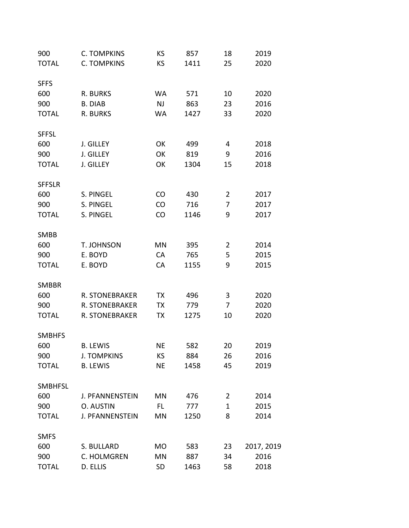| 900            | C. TOMPKINS        | KS        | 857  | 18             | 2019       |
|----------------|--------------------|-----------|------|----------------|------------|
| <b>TOTAL</b>   | <b>C. TOMPKINS</b> | KS        | 1411 | 25             | 2020       |
| <b>SFFS</b>    |                    |           |      |                |            |
| 600            | R. BURKS           | WA        | 571  | 10             | 2020       |
| 900            | <b>B. DIAB</b>     | <b>NJ</b> | 863  | 23             | 2016       |
| <b>TOTAL</b>   | R. BURKS           | <b>WA</b> | 1427 | 33             | 2020       |
| <b>SFFSL</b>   |                    |           |      |                |            |
| 600            | J. GILLEY          | OK        | 499  | 4              | 2018       |
| 900            | J. GILLEY          | OK        | 819  | 9              | 2016       |
| <b>TOTAL</b>   | J. GILLEY          | OK        | 1304 | 15             | 2018       |
| <b>SFFSLR</b>  |                    |           |      |                |            |
| 600            | S. PINGEL          | CO        | 430  | $\overline{2}$ | 2017       |
| 900            | S. PINGEL          | CO        | 716  | 7              | 2017       |
| <b>TOTAL</b>   | S. PINGEL          | CO        | 1146 | 9              | 2017       |
| <b>SMBB</b>    |                    |           |      |                |            |
| 600            | <b>T. JOHNSON</b>  | MN        | 395  | $\overline{2}$ | 2014       |
| 900            | E. BOYD            | CA        | 765  | 5              | 2015       |
| <b>TOTAL</b>   | E. BOYD            | CA        | 1155 | 9              | 2015       |
| <b>SMBBR</b>   |                    |           |      |                |            |
| 600            | R. STONEBRAKER     | TX        | 496  | 3              | 2020       |
| 900            | R. STONEBRAKER     | TX        | 779  | 7              | 2020       |
| <b>TOTAL</b>   | R. STONEBRAKER     | TX        | 1275 | 10             | 2020       |
| <b>SMBHFS</b>  |                    |           |      |                |            |
| 600            | <b>B. LFWIS</b>    | ΝE        | 582  | 20             | 2019       |
| 900            | <b>J. TOMPKINS</b> | KS.       | 884  | 26             | 2016       |
| <b>TOTAL</b>   | <b>B. LEWIS</b>    | <b>NE</b> | 1458 | 45             | 2019       |
| <b>SMBHFSL</b> |                    |           |      |                |            |
| 600            | J. PFANNENSTEIN    | MN        | 476  | $\overline{2}$ | 2014       |
| 900            | O. AUSTIN          | FL.       | 777  | $\mathbf{1}$   | 2015       |
| <b>TOTAL</b>   | J. PFANNENSTEIN    | MN        | 1250 | 8              | 2014       |
| <b>SMFS</b>    |                    |           |      |                |            |
| 600            | S. BULLARD         | MO        | 583  | 23             | 2017, 2019 |
| 900            | C. HOLMGREN        | <b>MN</b> | 887  | 34             | 2016       |
| <b>TOTAL</b>   | D. ELLIS           | SD        | 1463 | 58             | 2018       |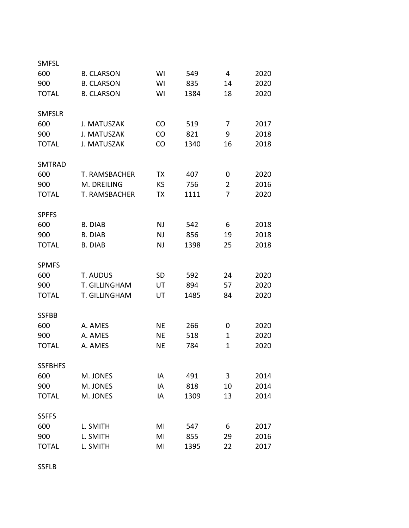| <b>SMFSL</b>   |                      |           |      |                |      |
|----------------|----------------------|-----------|------|----------------|------|
| 600            | <b>B. CLARSON</b>    | WI        | 549  | 4              | 2020 |
| 900            | <b>B. CLARSON</b>    | WI        | 835  | 14             | 2020 |
| <b>TOTAL</b>   | <b>B. CLARSON</b>    | WI        | 1384 | 18             | 2020 |
|                |                      |           |      |                |      |
| <b>SMFSLR</b>  |                      |           |      |                |      |
| 600            | J. MATUSZAK          | CO        | 519  | 7              | 2017 |
| 900            | J. MATUSZAK          | CO        | 821  | 9              | 2018 |
| <b>TOTAL</b>   | J. MATUSZAK          | <b>CO</b> | 1340 | 16             | 2018 |
| <b>SMTRAD</b>  |                      |           |      |                |      |
| 600            | T. RAMSBACHER        | TX        | 407  | 0              | 2020 |
| 900            | M. DREILING          | <b>KS</b> | 756  | $\overline{2}$ | 2016 |
| <b>TOTAL</b>   | <b>T. RAMSBACHER</b> | ТX        | 1111 | 7              | 2020 |
|                |                      |           |      |                |      |
| <b>SPFFS</b>   |                      |           |      |                |      |
| 600            | <b>B. DIAB</b>       | <b>NJ</b> | 542  | 6              | 2018 |
| 900            | <b>B. DIAB</b>       | NJ        | 856  | 19             | 2018 |
| <b>TOTAL</b>   | <b>B. DIAB</b>       | NJ        | 1398 | 25             | 2018 |
| <b>SPMFS</b>   |                      |           |      |                |      |
| 600            | T. AUDUS             | <b>SD</b> | 592  | 24             | 2020 |
| 900            | T. GILLINGHAM        | UT        | 894  | 57             | 2020 |
| <b>TOTAL</b>   | T. GILLINGHAM        | UT        | 1485 | 84             | 2020 |
|                |                      |           |      |                |      |
| <b>SSFBB</b>   |                      |           |      |                |      |
| 600            | A. AMES              | <b>NE</b> | 266  | 0              | 2020 |
| 900            | A. AMES              | <b>NE</b> | 518  | $\mathbf{1}$   | 2020 |
| <b>TOTAL</b>   | A. AMES              | <b>NE</b> | 784  | $\mathbf{1}$   | 2020 |
| <b>SSFBHFS</b> |                      |           |      |                |      |
| 600            | M. JONES             | IA        | 491  | 3              | 2014 |
| 900            | M. JONES             | IA        | 818  | 10             | 2014 |
| <b>TOTAL</b>   | M. JONES             | IA        | 1309 | 13             | 2014 |
|                |                      |           |      |                |      |
| <b>SSFFS</b>   |                      |           |      |                |      |
| 600            | L. SMITH             | MI        | 547  | 6              | 2017 |
| 900            | L. SMITH             | MI        | 855  | 29             | 2016 |
| <b>TOTAL</b>   | L. SMITH             | MI        | 1395 | 22             | 2017 |

SSFLB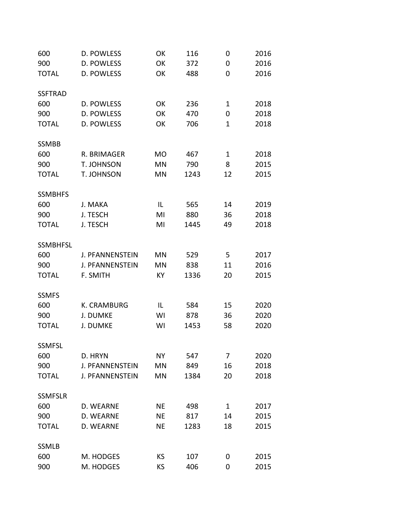| 600             | D. POWLESS             | OK        | 116  | 0            | 2016 |
|-----------------|------------------------|-----------|------|--------------|------|
| 900             | D. POWLESS             | OK        | 372  | 0            | 2016 |
| <b>TOTAL</b>    | D. POWLESS             | OK        | 488  | 0            | 2016 |
| <b>SSFTRAD</b>  |                        |           |      |              |      |
| 600             | D. POWLESS             | OK        | 236  | $\mathbf{1}$ | 2018 |
| 900             | D. POWLESS             | OK        | 470  | 0            | 2018 |
| <b>TOTAL</b>    | D. POWLESS             | OK        | 706  | $\mathbf{1}$ | 2018 |
| <b>SSMBB</b>    |                        |           |      |              |      |
| 600             | R. BRIMAGER            | <b>MO</b> | 467  | $\mathbf{1}$ | 2018 |
| 900             | T. JOHNSON             | MN        | 790  | 8            | 2015 |
| <b>TOTAL</b>    | T. JOHNSON             | MN        | 1243 | 12           | 2015 |
| <b>SSMBHFS</b>  |                        |           |      |              |      |
| 600             | J. MAKA                | IL        | 565  | 14           | 2019 |
| 900             | J. TESCH               | MI        | 880  | 36           | 2018 |
| <b>TOTAL</b>    | J. TESCH               | MI        | 1445 | 49           | 2018 |
|                 |                        |           |      |              |      |
| <b>SSMBHFSL</b> |                        |           |      |              |      |
| 600             | J. PFANNENSTEIN        | MN        | 529  | 5            | 2017 |
| 900             | J. PFANNENSTEIN        | <b>MN</b> | 838  | 11           | 2016 |
| <b>TOTAL</b>    | F. SMITH               | KY        | 1336 | 20           | 2015 |
| <b>SSMFS</b>    |                        |           |      |              |      |
| 600             | K. CRAMBURG            | IL        | 584  | 15           | 2020 |
| 900             | J. DUMKE               | WI        | 878  | 36           | 2020 |
| <b>TOTAL</b>    | J. DUMKE               | WI        | 1453 | 58           | 2020 |
|                 |                        |           |      |              |      |
| <b>SSMFSL</b>   |                        |           |      |              |      |
| 600             | D. HRYN                | NΥ        | 547  | 7            | 2020 |
| 900             | J. PFANNENSTEIN        | MN        | 849  | 16           | 2018 |
| <b>TOTAL</b>    | <b>J. PFANNENSTEIN</b> | MN        | 1384 | 20           | 2018 |
| <b>SSMFSLR</b>  |                        |           |      |              |      |
| 600             | D. WEARNE              | NE        | 498  | $\mathbf{1}$ | 2017 |
| 900             | D. WEARNE              | NE        | 817  | 14           | 2015 |
| <b>TOTAL</b>    | D. WEARNE              | <b>NE</b> | 1283 | 18           | 2015 |
| <b>SSMLB</b>    |                        |           |      |              |      |
| 600             | M. HODGES              | KS.       | 107  | 0            | 2015 |
| 900             | M. HODGES              | <b>KS</b> | 406  | 0            | 2015 |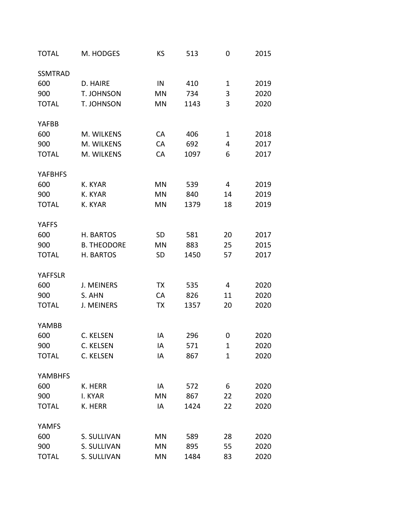| <b>TOTAL</b>   | M. HODGES          | KS        | 513  | 0              | 2015 |
|----------------|--------------------|-----------|------|----------------|------|
| <b>SSMTRAD</b> |                    |           |      |                |      |
| 600            | D. HAIRE           | IN        | 410  | $\mathbf{1}$   | 2019 |
| 900            | T. JOHNSON         | MN        | 734  | 3              | 2020 |
| <b>TOTAL</b>   | T. JOHNSON         | MN        | 1143 | 3              | 2020 |
| <b>YAFBB</b>   |                    |           |      |                |      |
| 600            | M. WILKENS         | CA        | 406  | $\mathbf{1}$   | 2018 |
| 900            | M. WILKENS         | CA        | 692  | 4              | 2017 |
| <b>TOTAL</b>   | M. WILKENS         | CA        | 1097 | 6              | 2017 |
| <b>YAFBHFS</b> |                    |           |      |                |      |
| 600            | K. KYAR            | <b>MN</b> | 539  | $\overline{4}$ | 2019 |
| 900            | K. KYAR            | MN        | 840  | 14             | 2019 |
| <b>TOTAL</b>   | K. KYAR            | MN        | 1379 | 18             | 2019 |
| <b>YAFFS</b>   |                    |           |      |                |      |
| 600            | H. BARTOS          | <b>SD</b> | 581  | 20             | 2017 |
| 900            | <b>B. THEODORE</b> | MN        | 883  | 25             | 2015 |
| <b>TOTAL</b>   | H. BARTOS          | <b>SD</b> | 1450 | 57             | 2017 |
| <b>YAFFSLR</b> |                    |           |      |                |      |
| 600            | <b>J. MEINERS</b>  | TX        | 535  | 4              | 2020 |
| 900            | S. AHN             | CA        | 826  | 11             | 2020 |
| <b>TOTAL</b>   | <b>J. MEINERS</b>  | TX        | 1357 | 20             | 2020 |
| YAMBB          |                    |           |      |                |      |
| 600            | C. KELSEN          | IA        | 296  | 0              | 2020 |
| 900            | C. KELSEN          | IA        | 571  | 1              | 2020 |
| <b>TOTAL</b>   | C. KELSEN          | ΙA        | 867  | $\mathbf{1}$   | 2020 |
| <b>YAMBHFS</b> |                    |           |      |                |      |
| 600            | K. HERR            | IA        | 572  | 6              | 2020 |
| 900            | I. KYAR            | MN        | 867  | 22             | 2020 |
| <b>TOTAL</b>   | K. HERR            | IA        | 1424 | 22             | 2020 |
| <b>YAMFS</b>   |                    |           |      |                |      |
| 600            | S. SULLIVAN        | MN        | 589  | 28             | 2020 |
| 900            | S. SULLIVAN        | MN        | 895  | 55             | 2020 |
| <b>TOTAL</b>   | S. SULLIVAN        | MN        | 1484 | 83             | 2020 |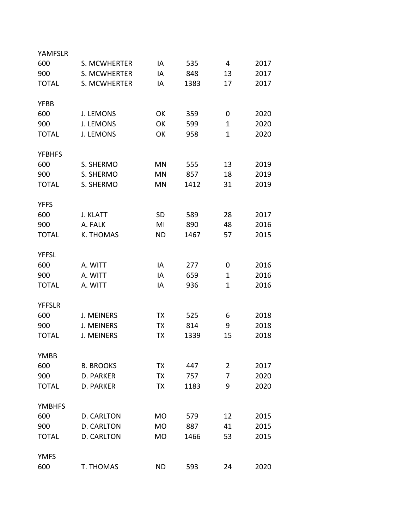| YAMFSLR       |                   |           |      |                |      |
|---------------|-------------------|-----------|------|----------------|------|
| 600           | S. MCWHERTER      | IA        | 535  | 4              | 2017 |
| 900           | S. MCWHERTER      | IA        | 848  | 13             | 2017 |
| <b>TOTAL</b>  | S. MCWHERTER      | IA        | 1383 | 17             | 2017 |
|               |                   |           |      |                |      |
| <b>YFBB</b>   |                   |           |      |                |      |
| 600           | J. LEMONS         | OK        | 359  | 0              | 2020 |
| 900           | <b>J. LEMONS</b>  | OK        | 599  | $\mathbf{1}$   | 2020 |
| <b>TOTAL</b>  | <b>J. LEMONS</b>  | OK        | 958  | $\mathbf{1}$   | 2020 |
|               |                   |           |      |                |      |
| <b>YFBHFS</b> |                   |           |      |                |      |
| 600           | S. SHERMO         | <b>MN</b> | 555  | 13             | 2019 |
| 900           | S. SHERMO         | <b>MN</b> | 857  | 18             | 2019 |
| <b>TOTAL</b>  | S. SHERMO         | <b>MN</b> | 1412 | 31             | 2019 |
|               |                   |           |      |                |      |
| <b>YFFS</b>   |                   |           |      |                |      |
| 600           | J. KLATT          | <b>SD</b> | 589  | 28             | 2017 |
| 900           | A. FALK           | MI        | 890  | 48             | 2016 |
| <b>TOTAL</b>  | K. THOMAS         | <b>ND</b> | 1467 | 57             | 2015 |
|               |                   |           |      |                |      |
| <b>YFFSL</b>  |                   |           |      |                |      |
| 600           | A. WITT           | IA        | 277  | 0              | 2016 |
| 900           | A. WITT           | IA        | 659  | $\mathbf{1}$   | 2016 |
| <b>TOTAL</b>  | A. WITT           | IA        | 936  | $\mathbf{1}$   | 2016 |
|               |                   |           |      |                |      |
| <b>YFFSLR</b> |                   |           |      |                |      |
| 600           | <b>J. MEINERS</b> | ТX        | 525  | 6              | 2018 |
| 900           | <b>J. MEINERS</b> | ТX        | 814  | 9              | 2018 |
| <b>TOTAL</b>  | <b>J. MEINERS</b> | ТX        | 1339 | 15             | 2018 |
|               |                   |           |      |                |      |
| <b>YMBB</b>   |                   |           |      |                |      |
| 600           | <b>B. BROOKS</b>  | TХ        | 447  | $\overline{2}$ | 2017 |
| 900           | D. PARKER         | TX        | 757  | 7              | 2020 |
| <b>TOTAL</b>  | D. PARKER         | TX        | 1183 | 9              | 2020 |
|               |                   |           |      |                |      |
| <b>YMBHFS</b> |                   |           |      |                |      |
| 600           | D. CARLTON        | <b>MO</b> | 579  | 12             | 2015 |
| 900           | D. CARLTON        | <b>MO</b> | 887  | 41             | 2015 |
| <b>TOTAL</b>  | D. CARLTON        | <b>MO</b> | 1466 | 53             | 2015 |
|               |                   |           |      |                |      |
| <b>YMFS</b>   |                   |           |      |                |      |
| 600           | T. THOMAS         | <b>ND</b> | 593  | 24             | 2020 |
|               |                   |           |      |                |      |